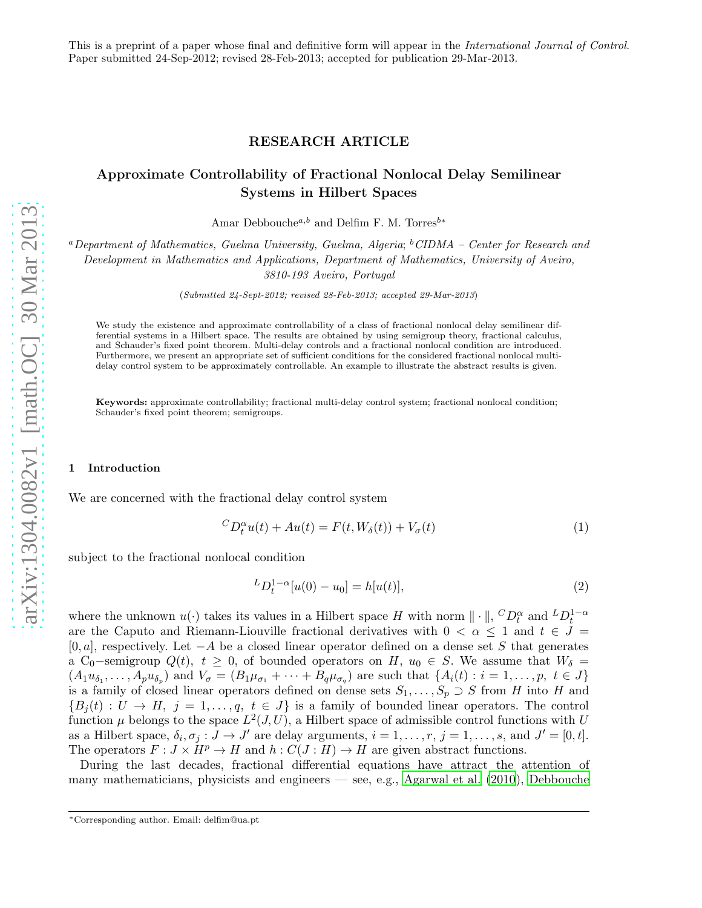This is a preprint of a paper whose final and definitive form will appear in the International Journal of Control. Paper submitted 24-Sep-2012; revised 28-Feb-2013; accepted for publication 29-Mar-2013.

## RESEARCH ARTICLE

# Approximate Controllability of Fractional Nonlocal Delay Semilinear Systems in Hilbert Spaces

Amar Debbouche<sup>a,b</sup> and Delfim F. M. Torres<sup>b\*</sup>

 ${}^a$ Department of Mathematics, Guelma University, Guelma, Algeria;  ${}^b$ CIDMA – Center for Research and Development in Mathematics and Applications, Department of Mathematics, University of Aveiro, 3810-193 Aveiro, Portugal

(Submitted 24-Sept-2012; revised 28-Feb-2013; accepted 29-Mar-2013)

We study the existence and approximate controllability of a class of fractional nonlocal delay semilinear differential systems in a Hilbert space. The results are obtained by using semigroup theory, fractional calculus, and Schauder's fixed point theorem. Multi-delay controls and a fractional nonlocal condition are introduced. Furthermore, we present an appropriate set of sufficient conditions for the considered fractional nonlocal multidelay control system to be approximately controllable. An example to illustrate the abstract results is given.

Keywords: approximate controllability; fractional multi-delay control system; fractional nonlocal condition; Schauder's fixed point theorem; semigroups.

### 1 Introduction

We are concerned with the fractional delay control system

<span id="page-0-0"></span>
$$
{}^{C}D_{t}^{\alpha}u(t) + Au(t) = F(t, W_{\delta}(t)) + V_{\sigma}(t)
$$
\n<sup>(1)</sup>

subject to the fractional nonlocal condition

<span id="page-0-1"></span>
$$
{}^{L}D_{t}^{1-\alpha}[u(0)-u_{0}]=h[u(t)], \qquad (2)
$$

where the unknown  $u(\cdot)$  takes its values in a Hilbert space H with norm  $\|\cdot\|$ ,  ${}^CD_t^{\alpha}$  and  ${}^LD_t^{1-\alpha}$ are the Caputo and Riemann-Liouville fractional derivatives with  $0 < \alpha < 1$  and  $t \in J =$  $[0, a]$ , respectively. Let  $-A$  be a closed linear operator defined on a dense set S that generates a C<sub>0</sub>-semigroup  $Q(t)$ ,  $t \geq 0$ , of bounded operators on H,  $u_0 \in S$ . We assume that  $W_\delta =$  $(A_1u_{\delta_1},\ldots,A_pu_{\delta_p})$  and  $V_{\sigma}=(B_1\mu_{\sigma_1}+\cdots+B_q\mu_{\sigma_q})$  are such that  $\{A_i(t):i=1,\ldots,p, t \in J\}$ is a family of closed linear operators defined on dense sets  $S_1, \ldots, S_p \supset S$  from H into H and  ${B_i(t): U \to H, j = 1,\ldots,q, t \in J}$  is a family of bounded linear operators. The control function  $\mu$  belongs to the space  $L^2(J, U)$ , a Hilbert space of admissible control functions with U as a Hilbert space,  $\delta_i, \sigma_j : \tilde{J} \to J'$  are delay arguments,  $i = 1, \ldots, r, j = 1, \ldots, s$ , and  $J' = [0, t]$ . The operators  $F: J \times H^p \to H$  and  $h: C(J: H) \to H$  are given abstract functions.

During the last decades, fractional differential equations have attract the attention of many mathematicians, physicists and engineers — see, e.g., [Agarwal et al. \(2010\)](#page-10-0), [Debbouche](#page-10-1)

<sup>∗</sup>Corresponding author. Email: delfim@ua.pt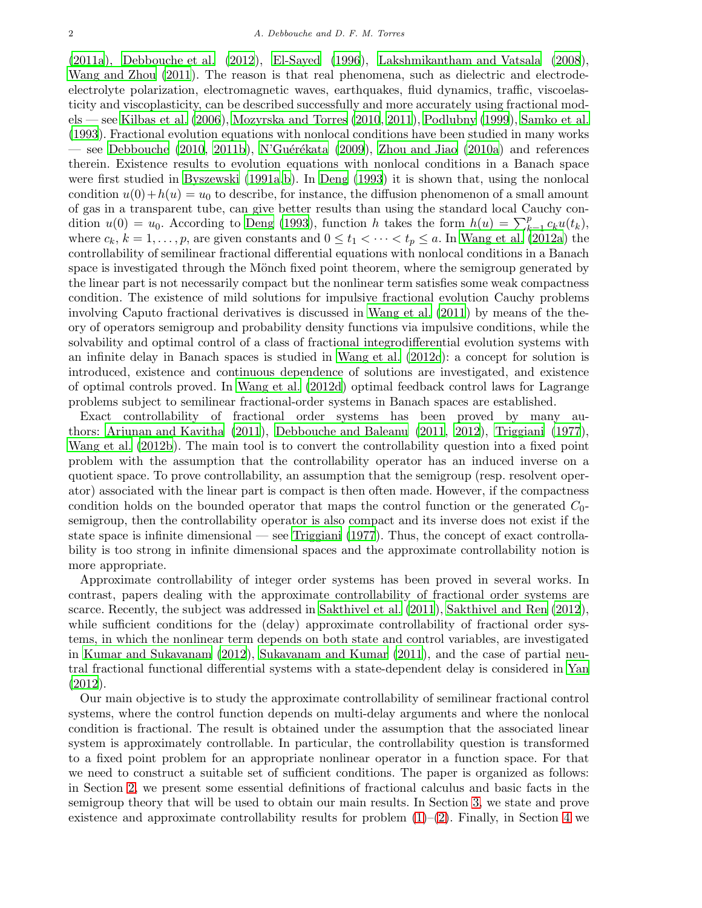[\(2011a](#page-10-1)), [Debbouche et al. \(2012](#page-10-2)), [El-Sayed \(1996](#page-11-0)), [Lakshmikantham and Vatsala \(2008\)](#page-11-1), [Wang and Zhou \(2011\)](#page-11-2). The reason is that real phenomena, such as dielectric and electrodeelectrolyte polarization, electromagnetic waves, earthquakes, fluid dynamics, traffic, viscoelasticity and viscoplasticity, can be described successfully and more accurately using fractional models — see [Kilbas et al. \(2006](#page-11-3)), [Mozyrska and Torres \(2010](#page-11-4), [2011\)](#page-11-5), [Podlubny \(1999](#page-11-6)), [Samko et al.](#page-11-7) [\(1993\)](#page-11-7). Fractional evolution equations with nonlocal conditions have been studied in many works — see [Debbouche \(2010](#page-10-3), [2011b](#page-10-4)), N'Guérékata (2009), [Zhou and Jiao \(2010a](#page-11-9)) and references therein. Existence results to evolution equations with nonlocal conditions in a Banach space were first studied in [Byszewski \(1991a](#page-10-5)[,b\)](#page-10-6). In [Deng \(1993](#page-11-10)) it is shown that, using the nonlocal condition  $u(0) + h(u) = u_0$  to describe, for instance, the diffusion phenomenon of a small amount of gas in a transparent tube, can give better results than using the standard local Cauchy condition  $u(0) = u_0$ . According to [Deng \(1993](#page-11-10)), function h takes the form  $h(u) = \sum_{k=1}^p c_k u(t_k)$ , where  $c_k$ ,  $k = 1, \ldots, p$ , are given constants and  $0 \le t_1 < \cdots < t_p \le a$ . In [Wang et al. \(2012a](#page-11-11)) the controllability of semilinear fractional differential equations with nonlocal conditions in a Banach space is investigated through the Mönch fixed point theorem, where the semigroup generated by the linear part is not necessarily compact but the nonlinear term satisfies some weak compactness condition. The existence of mild solutions for impulsive fractional evolution Cauchy problems involving Caputo fractional derivatives is discussed in [Wang et al. \(2011](#page-11-12)) by means of the theory of operators semigroup and probability density functions via impulsive conditions, while the solvability and optimal control of a class of fractional integrodifferential evolution systems with an infinite delay in Banach spaces is studied in [Wang et al. \(2012c\)](#page-11-13): a concept for solution is introduced, existence and continuous dependence of solutions are investigated, and existence of optimal controls proved. In [Wang et al. \(2012d](#page-11-14)) optimal feedback control laws for Lagrange problems subject to semilinear fractional-order systems in Banach spaces are established.

Exact controllability of fractional order systems has been proved by many authors: [Arjunan and Kavitha \(2011](#page-10-7)), [Debbouche and Baleanu \(2011](#page-10-8), [2012\)](#page-10-9), [Triggiani \(1977\)](#page-11-15), [Wang et al. \(2012b\)](#page-11-16). The main tool is to convert the controllability question into a fixed point problem with the assumption that the controllability operator has an induced inverse on a quotient space. To prove controllability, an assumption that the semigroup (resp. resolvent operator) associated with the linear part is compact is then often made. However, if the compactness condition holds on the bounded operator that maps the control function or the generated  $C_0$ semigroup, then the controllability operator is also compact and its inverse does not exist if the state space is infinite dimensional — see [Triggiani \(1977](#page-11-15)). Thus, the concept of exact controllability is too strong in infinite dimensional spaces and the approximate controllability notion is more appropriate.

Approximate controllability of integer order systems has been proved in several works. In contrast, papers dealing with the approximate controllability of fractional order systems are scarce. Recently, the subject was addressed in [Sakthivel et](#page-11-17) al. [\(2011](#page-11-17)), [Sakthivel and Ren \(2012\)](#page-11-18), while sufficient conditions for the (delay) approximate controllability of fractional order systems, in which the nonlinear term depends on both state and control variables, are investigated in [Kumar and Sukavanam \(2012](#page-11-19)), [Sukavanam and Kumar \(2011](#page-11-20)), and the case of partial neutral fractional functional differential systems with a state-dependent delay is considered in [Yan](#page-11-21) [\(2012\)](#page-11-21).

Our main objective is to study the approximate controllability of semilinear fractional control systems, where the control function depends on multi-delay arguments and where the nonlocal condition is fractional. The result is obtained under the assumption that the associated linear system is approximately controllable. In particular, the controllability question is transformed to a fixed point problem for an appropriate nonlinear operator in a function space. For that we need to construct a suitable set of sufficient conditions. The paper is organized as follows: in Section [2,](#page-2-0) we present some essential definitions of fractional calculus and basic facts in the semigroup theory that will be used to obtain our main results. In Section [3,](#page-4-0) we state and prove existence and approximate controllability results for problem  $(1)-(2)$  $(1)-(2)$ . Finally, in Section [4](#page-9-0) we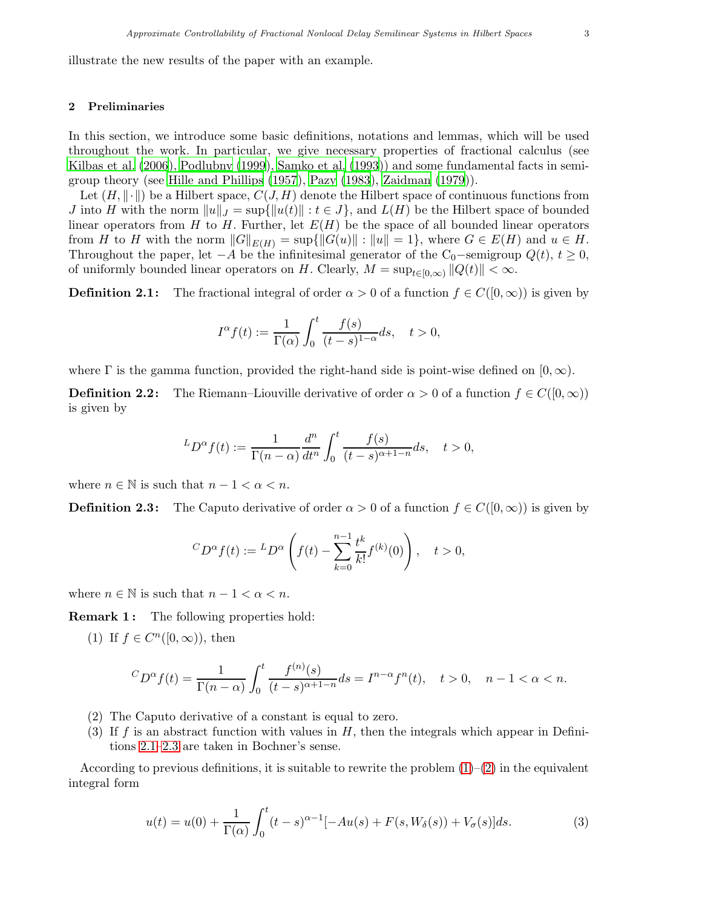illustrate the new results of the paper with an example.

## <span id="page-2-0"></span>2 Preliminaries

In this section, we introduce some basic definitions, notations and lemmas, which will be used throughout the work. In particular, we give necessary properties of fractional calculus (see [Kilbas et al. \(2006](#page-11-3)), [Podlubny \(1999\)](#page-11-6), [Samko et al. \(1993](#page-11-7))) and some fundamental facts in semigroup theory (see [Hille and Phillips \(1957](#page-11-22)), [Pazy \(1983](#page-11-23)), [Zaidman \(1979](#page-11-24))).

Let  $(H, \|\cdot\|)$  be a Hilbert space,  $C(J, H)$  denote the Hilbert space of continuous functions from J into H with the norm  $||u||_J = \sup{||u(t)|| : t \in J}$ , and  $L(H)$  be the Hilbert space of bounded linear operators from H to H. Further, let  $E(H)$  be the space of all bounded linear operators from H to H with the norm  $||G||_{E(H)} = \sup{||G(u)|| : ||u|| = 1}$ , where  $G \in E(H)$  and  $u \in H$ . Throughout the paper, let  $-A$  be the infinitesimal generator of the C<sub>0</sub> $-$ semigroup  $Q(t)$ ,  $t \geq 0$ , of uniformly bounded linear operators on H. Clearly,  $M = \sup_{t \in [0,\infty)} ||Q(t)|| < \infty$ .

<span id="page-2-1"></span>**Definition 2.1:** The fractional integral of order  $\alpha > 0$  of a function  $f \in C([0,\infty))$  is given by

$$
I^{\alpha}f(t):=\frac{1}{\Gamma(\alpha)}\int_0^t\frac{f(s)}{(t-s)^{1-\alpha}}ds,\quad t>0,
$$

where  $\Gamma$  is the gamma function, provided the right-hand side is point-wise defined on  $[0, \infty)$ .

**Definition 2.2:** The Riemann–Liouville derivative of order  $\alpha > 0$  of a function  $f \in C([0,\infty))$ is given by

$$
{}^L D^{\alpha} f(t) := \frac{1}{\Gamma(n-\alpha)} \frac{d^n}{dt^n} \int_0^t \frac{f(s)}{(t-s)^{\alpha+1-n}} ds, \quad t > 0,
$$

<span id="page-2-2"></span>where  $n \in \mathbb{N}$  is such that  $n - 1 < \alpha < n$ .

**Definition 2.3:** The Caputo derivative of order  $\alpha > 0$  of a function  $f \in C([0,\infty))$  is given by

$$
{}^{C}D^{\alpha}f(t) := {}^{L}D^{\alpha}\left(f(t) - \sum_{k=0}^{n-1} \frac{t^k}{k!} f^{(k)}(0)\right), \quad t > 0,
$$

where  $n \in \mathbb{N}$  is such that  $n - 1 < \alpha < n$ .

**Remark 1:** The following properties hold:

(1) If  $f \in C^n([0,\infty))$ , then

$$
{}^{C}D^{\alpha}f(t) = \frac{1}{\Gamma(n-\alpha)} \int_0^t \frac{f^{(n)}(s)}{(t-s)^{\alpha+1-n}} ds = I^{n-\alpha}f^n(t), \quad t > 0, \quad n-1 < \alpha < n.
$$

- (2) The Caputo derivative of a constant is equal to zero.
- (3) If f is an abstract function with values in  $H$ , then the integrals which appear in Definitions [2.1](#page-2-1)[–2.3](#page-2-2) are taken in Bochner's sense.

According to previous definitions, it is suitable to rewrite the problem  $(1)-(2)$  $(1)-(2)$  in the equivalent integral form

<span id="page-2-3"></span>
$$
u(t) = u(0) + \frac{1}{\Gamma(\alpha)} \int_0^t (t - s)^{\alpha - 1} [-Au(s) + F(s, W_\delta(s)) + V_\sigma(s)] ds.
$$
 (3)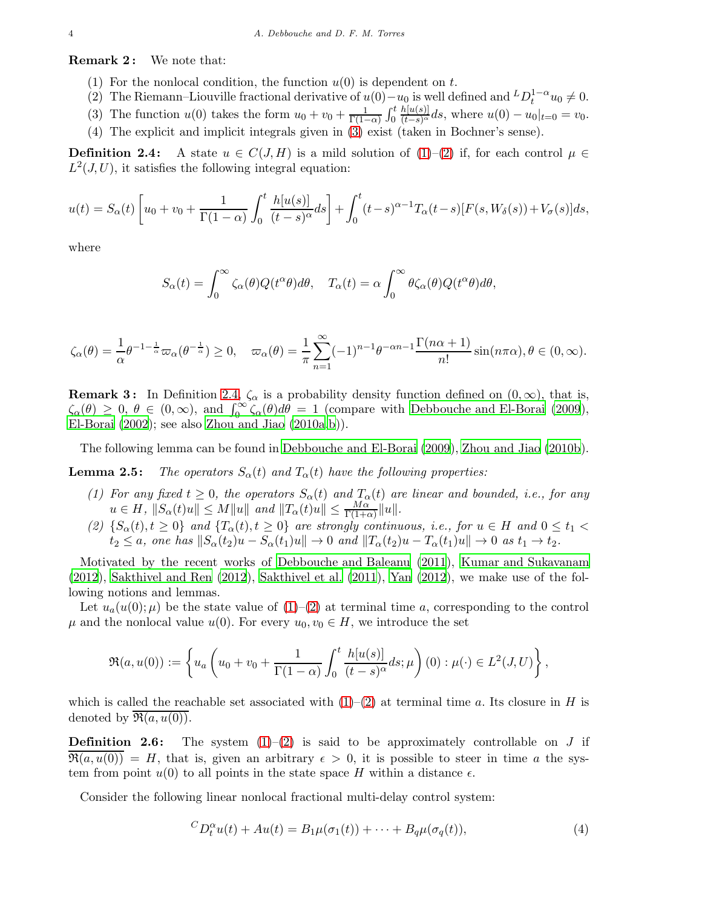**Remark 2:** We note that:

- (1) For the nonlocal condition, the function  $u(0)$  is dependent on t.
- (2) The Riemann–Liouville fractional derivative of  $u(0)-u_0$  is well defined and  ${}^L D_t^{1-\alpha}u_0\neq 0$ .
- (3) The function  $u(0)$  takes the form  $u_0 + v_0 + \frac{1}{\Gamma(1-\alpha)} \int_0^t$  $\frac{h[u(s)]}{(t-s)^{\alpha}}ds$ , where  $u(0) - u_0|_{t=0} = v_0$ .
- (4) The explicit and implicit integrals given in [\(3\)](#page-2-3) exist (taken in Bochner's sense).

<span id="page-3-0"></span>**Definition 2.4:** A state  $u \in C(J,H)$  is a mild solution of  $(1)-(2)$  $(1)-(2)$  if, for each control  $\mu \in$  $L^2(J, U)$ , it satisfies the following integral equation:

$$
u(t) = S_{\alpha}(t) \left[ u_0 + v_0 + \frac{1}{\Gamma(1-\alpha)} \int_0^t \frac{h[u(s)]}{(t-s)^{\alpha}} ds \right] + \int_0^t (t-s)^{\alpha-1} T_{\alpha}(t-s) [F(s, W_{\delta}(s)) + V_{\sigma}(s)] ds,
$$

where

$$
S_{\alpha}(t) = \int_0^{\infty} \zeta_{\alpha}(\theta) Q(t^{\alpha} \theta) d\theta, \quad T_{\alpha}(t) = \alpha \int_0^{\infty} \theta \zeta_{\alpha}(\theta) Q(t^{\alpha} \theta) d\theta,
$$

$$
\zeta_{\alpha}(\theta) = \frac{1}{\alpha} \theta^{-1-\frac{1}{\alpha}} \varpi_{\alpha}(\theta^{-\frac{1}{\alpha}}) \ge 0, \quad \varpi_{\alpha}(\theta) = \frac{1}{\pi} \sum_{n=1}^{\infty} (-1)^{n-1} \theta^{-\alpha n-1} \frac{\Gamma(n\alpha+1)}{n!} \sin(n\pi\alpha), \theta \in (0, \infty).
$$

**Remark 3:** In Definition [2.4,](#page-3-0)  $\zeta_{\alpha}$  is a probability density function defined on  $(0,\infty)$ , that is,  $\zeta_{\alpha}(\theta) \geq 0, \ \theta \in (0,\infty)$ , and  $\int_0^{\infty} \zeta_{\alpha}(\theta) d\theta = 1$  (compare with [Debbouche and El-Borai \(2009\)](#page-10-10), El-Borai  $(2002)$ ; see also Zhou and Jiao  $(2010a,b)$  $(2010a,b)$ ).

<span id="page-3-3"></span>The following lemma can be found in [Debbouche and El-Borai \(2009\)](#page-10-10), [Zhou and Jiao \(2010b\)](#page-11-26).

<span id="page-3-2"></span>**Lemma 2.5:** The operators  $S_{\alpha}(t)$  and  $T_{\alpha}(t)$  have the following properties:

- (1) For any fixed  $t \geq 0$ , the operators  $S_{\alpha}(t)$  and  $T_{\alpha}(t)$  are linear and bounded, i.e., for any  $u \in H$ ,  $||S_{\alpha}(t)u|| \leq M||u||$  and  $||T_{\alpha}(t)u|| \leq \frac{M\alpha}{\Gamma(1+\alpha)}||u||$ .
- (2)  $\{S_{\alpha}(t), t \geq 0\}$  and  $\{T_{\alpha}(t), t \geq 0\}$  are strongly continuous, i.e., for  $u \in H$  and  $0 \leq t_1 <$  $t_2 \leq a$ , one has  $||S_\alpha(t_2)u - S_\alpha(t_1)u|| \to 0$  and  $||T_\alpha(t_2)u - T_\alpha(t_1)u|| \to 0$  as  $t_1 \to t_2$ .

Motivated by the recent works of [Debbouche and Baleanu \(2011](#page-10-8)), [Kumar and Sukavanam](#page-11-19) [\(2012\)](#page-11-19), [Sakthivel and Ren \(2012](#page-11-18)), [Sakthivel et al. \(2011\)](#page-11-17), [Yan \(2012](#page-11-21)), we make use of the following notions and lemmas.

Let  $u_a(u(0); \mu)$  be the state value of  $(1)$ – $(2)$  at terminal time a, corresponding to the control  $\mu$  and the nonlocal value  $u(0)$ . For every  $u_0, v_0 \in H$ , we introduce the set

$$
\Re(a, u(0)) := \left\{ u_a \left( u_0 + v_0 + \frac{1}{\Gamma(1-\alpha)} \int_0^t \frac{h[u(s)]}{(t-s)^{\alpha}} ds; \mu \right) (0) : \mu(\cdot) \in L^2(J, U) \right\},\,
$$

which is called the reachable set associated with  $(1)$ – $(2)$  at terminal time a. Its closure in H is denoted by  $\overline{\mathfrak{R}(a, u(0))}$ .

**Definition 2.6:** The system  $(1)-(2)$  $(1)-(2)$  is said to be approximately controllable on J if  $\Re(a, u(0)) = H$ , that is, given an arbitrary  $\epsilon > 0$ , it is possible to steer in time a the system from point  $u(0)$  to all points in the state space H within a distance  $\epsilon$ .

Consider the following linear nonlocal fractional multi-delay control system:

<span id="page-3-1"></span>
$$
{}^{C}D_t^{\alpha}u(t) + Au(t) = B_1\mu(\sigma_1(t)) + \dots + B_q\mu(\sigma_q(t)),
$$
\n<sup>(4)</sup>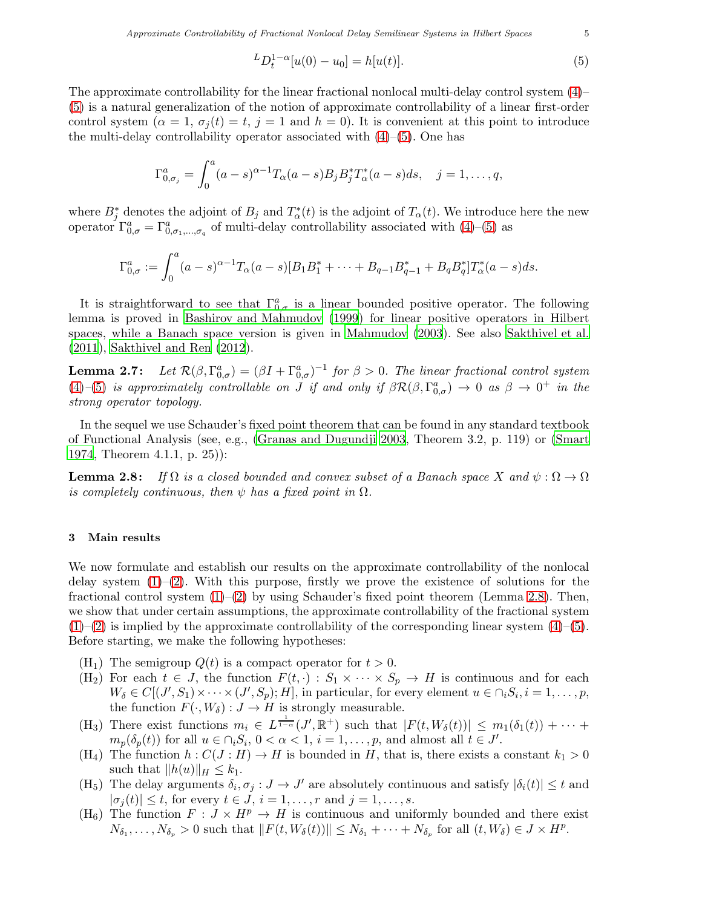<span id="page-4-1"></span>
$$
{}^{L}D_{t}^{1-\alpha}[u(0)-u_{0}]=h[u(t)].
$$
\n(5)

The approximate controllability for the linear fractional nonlocal multi-delay control system [\(4\)](#page-3-1)– [\(5\)](#page-4-1) is a natural generalization of the notion of approximate controllability of a linear first-order control system ( $\alpha = 1$ ,  $\sigma_i(t) = t$ ,  $j = 1$  and  $h = 0$ ). It is convenient at this point to introduce the multi-delay controllability operator associated with [\(4\)](#page-3-1)–[\(5\)](#page-4-1). One has

$$
\Gamma^{a}_{0,\sigma_j} = \int_0^a (a-s)^{\alpha-1} T_{\alpha}(a-s) B_j B_j^* T_{\alpha}^*(a-s) ds, \quad j = 1, \dots, q,
$$

where  $B_j^*$  denotes the adjoint of  $B_j$  and  $T^*_{\alpha}(t)$  is the adjoint of  $T_{\alpha}(t)$ . We introduce here the new operator  $\Gamma^a_{0,\sigma} = \Gamma^a_{0,\sigma_1,\dots,\sigma_q}$  of multi-delay controllability associated with  $(4)$ – $(5)$  as

$$
\Gamma^{a}_{0,\sigma} := \int_0^a (a-s)^{\alpha-1} T_{\alpha}(a-s) [B_1 B_1^* + \dots + B_{q-1} B_{q-1}^* + B_q B_q^*] T_{\alpha}^*(a-s) ds.
$$

It is straightforward to see that  $\Gamma^a_{0,\sigma}$  is a linear bounded positive operator. The following lemma is proved in [Bashirov and Mahmudov \(1999\)](#page-10-11) for linear positive operators in Hilbert spaces, while a Banach space version is given in [Mahmudov \(2003](#page-11-27)). See also [Sakthivel et al.](#page-11-17) [\(2011\)](#page-11-17), [Sakthivel and Ren \(2012](#page-11-18)).

<span id="page-4-3"></span>Lemma  $2.7$ :  $\mathcal{L}_{0,\sigma}^{a}$ ) =  $(\beta I + \Gamma_{0,\sigma}^{a})^{-1}$  for  $\beta > 0$ . The linear fractional control system [\(4\)](#page-3-1)–[\(5\)](#page-4-1) is approximately controllable on  $\tilde{J}$  if and only if  $\beta \mathcal{R}(\beta,\Gamma^a_{0,\sigma}) \to 0$  as  $\beta \to 0^+$  in the strong operator topology.

In the sequel we use Schauder's fixed point theorem that can be found in any standard textbook of Functional Analysis (see, e.g., [\(Granas and Dugundji 2003](#page-11-28), Theorem 3.2, p. 119) or [\(Smart](#page-11-29) [1974](#page-11-29), Theorem 4.1.1, p. 25)):

<span id="page-4-2"></span>**Lemma 2.8:** If  $\Omega$  is a closed bounded and convex subset of a Banach space X and  $\psi : \Omega \to \Omega$ is completely continuous, then  $\psi$  has a fixed point in  $\Omega$ .

### <span id="page-4-0"></span>3 Main results

We now formulate and establish our results on the approximate controllability of the nonlocal delay system  $(1)-(2)$  $(1)-(2)$ . With this purpose, firstly we prove the existence of solutions for the fractional control system  $(1)$ – $(2)$  by using Schauder's fixed point theorem (Lemma [2.8\)](#page-4-2). Then, we show that under certain assumptions, the approximate controllability of the fractional system  $(1)$ – $(2)$  is implied by the approximate controllability of the corresponding linear system  $(4)$ – $(5)$ . Before starting, we make the following hypotheses:

- $(H_1)$  The semigroup  $Q(t)$  is a compact operator for  $t > 0$ .
- (H<sub>2</sub>) For each  $t \in J$ , the function  $F(t, \cdot) : S_1 \times \cdots \times S_p \to H$  is continuous and for each  $W_{\delta} \in C[(J', S_1) \times \cdots \times (J', S_p); H]$ , in particular, for every element  $u \in \cap_i S_i, i = 1, \ldots, p$ , the function  $F(\cdot, W_\delta) : J \to H$  is strongly measurable.
- (H<sub>3</sub>) There exist functions  $m_i \in L^{\frac{1}{1-\alpha}}(J', \mathbb{R}^+)$  such that  $|F(t, W_\delta(t))| \leq m_1(\delta_1(t)) + \cdots$  $m_p(\delta_p(t))$  for all  $u \in \bigcap_i S_i$ ,  $0 < \alpha < 1$ ,  $i = 1, \ldots, p$ , and almost all  $t \in J'$ .
- (H<sub>4</sub>) The function  $h: C(J:H) \to H$  is bounded in H, that is, there exists a constant  $k_1 > 0$ such that  $||h(u)||_H \leq k_1$ .
- (H<sub>5</sub>) The delay arguments  $\delta_i, \sigma_j : J \to J'$  are absolutely continuous and satisfy  $|\delta_i(t)| \leq t$  and  $|\sigma_i(t)| \leq t$ , for every  $t \in J$ ,  $i = 1, \ldots, r$  and  $j = 1, \ldots, s$ .
- (H<sub>6</sub>) The function  $F: J \times H^p \to H$  is continuous and uniformly bounded and there exist  $N_{\delta_1}, \ldots, N_{\delta_p} > 0$  such that  $||F(t, W_\delta(t))|| \leq N_{\delta_1} + \cdots + N_{\delta_p}$  for all  $(t, W_\delta) \in J \times H^p$ .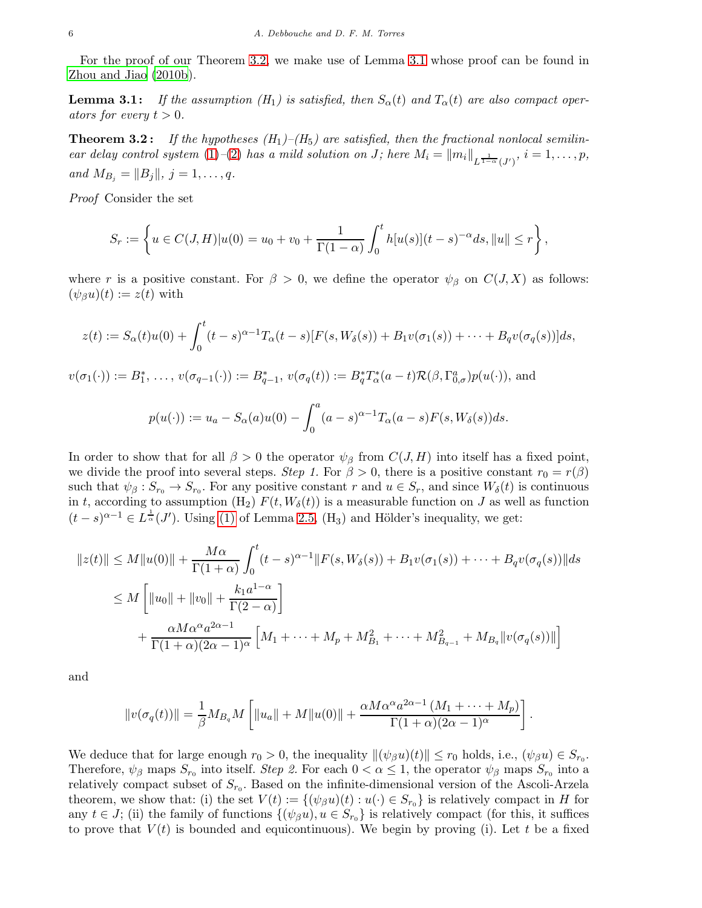<span id="page-5-1"></span>For the proof of our Theorem [3.2,](#page-5-0) we make use of Lemma [3.1](#page-5-1) whose proof can be found in [Zhou and Jiao \(2010b](#page-11-26)).

**Lemma 3.1:** If the assumption  $(H_1)$  is satisfied, then  $S_\alpha(t)$  and  $T_\alpha(t)$  are also compact operators for every  $t > 0$ .

<span id="page-5-0"></span>**Theorem 3.2:** If the hypotheses  $(H_1)$ – $(H_5)$  are satisfied, then the fractional nonlocal semilinear delay control system  $(1)$ - $(2)$  has a mild solution on J; here  $M_i = ||m_i||_{L^{\frac{1}{1-\alpha}}(J')}$ ,  $i = 1, \ldots, p$ , and  $M_{B_j} = ||B_j||, j = 1, ..., q$ .

Proof Consider the set

$$
S_r := \left\{ u \in C(J, H)|u(0) = u_0 + v_0 + \frac{1}{\Gamma(1-\alpha)} \int_0^t h[u(s)](t-s)^{-\alpha} ds, ||u|| \leq r \right\},\,
$$

where r is a positive constant. For  $\beta > 0$ , we define the operator  $\psi_{\beta}$  on  $C(J, X)$  as follows:  $(\psi_{\beta} u)(t) := z(t)$  with

$$
z(t) := S_{\alpha}(t)u(0) + \int_0^t (t-s)^{\alpha-1} T_{\alpha}(t-s)[F(s, W_{\delta}(s)) + B_1v(\sigma_1(s)) + \cdots + B_qv(\sigma_q(s))]ds,
$$

 $v(\sigma_1(\cdot)) := B_1^*, \ldots, v(\sigma_{q-1}(\cdot)) := B_{q-1}^*, v(\sigma_q(t)) := B_q^* T_\alpha^*(a-t) \mathcal{R}(\beta, \Gamma_{0,\sigma}^a) p(u(\cdot)),$  and

$$
p(u(\cdot)) := u_a - S_\alpha(a)u(0) - \int_0^a (a-s)^{\alpha-1} T_\alpha(a-s)F(s,W_\delta(s))ds.
$$

In order to show that for all  $\beta > 0$  the operator  $\psi_{\beta}$  from  $C(J, H)$  into itself has a fixed point, we divide the proof into several steps. Step 1. For  $\beta > 0$ , there is a positive constant  $r_0 = r(\beta)$ such that  $\psi_{\beta}: S_{r_0} \to S_{r_0}$ . For any positive constant r and  $u \in S_r$ , and since  $W_{\delta}(t)$  is continuous in t, according to assumption (H<sub>2</sub>)  $F(t, W_\delta(t))$  is a measurable function on J as well as function  $(t-s)^{\alpha-1} \in L^{\frac{1}{\alpha}}(J')$ . Using [\(1\)](#page-3-2) of Lemma [2.5,](#page-3-3) (H<sub>3</sub>) and Hölder's inequality, we get:

$$
||z(t)|| \le M||u(0)|| + \frac{M\alpha}{\Gamma(1+\alpha)} \int_0^t (t-s)^{\alpha-1} ||F(s, W_\delta(s)) + B_1 v(\sigma_1(s)) + \dots + B_q v(\sigma_q(s))||ds
$$
  
\n
$$
\le M \left[ ||u_0|| + ||v_0|| + \frac{k_1 a^{1-\alpha}}{\Gamma(2-\alpha)} \right]
$$
  
\n
$$
+ \frac{\alpha M \alpha^{\alpha} a^{2\alpha-1}}{\Gamma(1+\alpha)(2\alpha-1)^{\alpha}} \left[ M_1 + \dots + M_p + M_{B_1}^2 + \dots + M_{B_{q-1}}^2 + M_{B_q} ||v(\sigma_q(s))|| \right]
$$

and

$$
||v(\sigma_q(t))|| = \frac{1}{\beta} M_{B_q} M \left[ ||u_a|| + M ||u(0)|| + \frac{\alpha M \alpha^{\alpha} a^{2\alpha - 1} (M_1 + \dots + M_p)}{\Gamma(1 + \alpha)(2\alpha - 1)^{\alpha}} \right]
$$

.

We deduce that for large enough  $r_0 > 0$ , the inequality  $\|(\psi_\beta u)(t)\| \le r_0$  holds, i.e.,  $(\psi_\beta u) \in S_{r_0}$ . Therefore,  $\psi_\beta$  maps  $S_{r_0}$  into itself. Step 2. For each  $0 < \alpha \leq 1$ , the operator  $\psi_\beta$  maps  $S_{r_0}$  into a relatively compact subset of  $S_{r_0}$ . Based on the infinite-dimensional version of the Ascoli-Arzela theorem, we show that: (i) the set  $V(t) := \{(\psi_\beta u)(t) : u(\cdot) \in S_{r_0}\}\$ is relatively compact in H for any  $t \in J$ ; (ii) the family of functions  $\{(\psi_{\beta} u), u \in S_{r_0}\}\$ is relatively compact (for this, it suffices to prove that  $V(t)$  is bounded and equicontinuous). We begin by proving (i). Let t be a fixed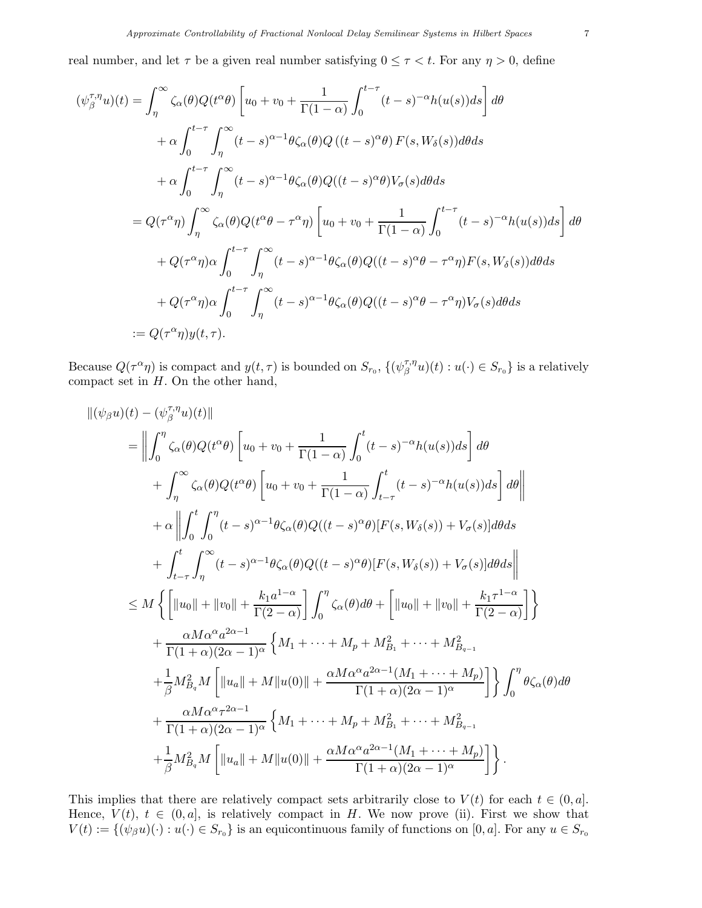real number, and let  $\tau$  be a given real number satisfying  $0 \leq \tau < t$ . For any  $\eta > 0$ , define

$$
(\psi_{\beta}^{\tau,\eta}u)(t) = \int_{\eta}^{\infty} \zeta_{\alpha}(\theta)Q(t^{\alpha}\theta) \left[ u_{0} + v_{0} + \frac{1}{\Gamma(1-\alpha)} \int_{0}^{t-\tau} (t-s)^{-\alpha}h(u(s))ds \right] d\theta
$$
  
+  $\alpha \int_{0}^{t-\tau} \int_{\eta}^{\infty} (t-s)^{\alpha-1} \theta \zeta_{\alpha}(\theta)Q((t-s)^{\alpha}\theta) F(s, W_{\delta}(s))d\theta ds$   
+  $\alpha \int_{0}^{t-\tau} \int_{\eta}^{\infty} (t-s)^{\alpha-1} \theta \zeta_{\alpha}(\theta)Q((t-s)^{\alpha}\theta)V_{\sigma}(s)d\theta ds$   
=  $Q(\tau^{\alpha}\eta) \int_{\eta}^{\infty} \zeta_{\alpha}(\theta)Q(t^{\alpha}\theta - \tau^{\alpha}\eta) \left[ u_{0} + v_{0} + \frac{1}{\Gamma(1-\alpha)} \int_{0}^{t-\tau} (t-s)^{-\alpha}h(u(s))ds \right] d\theta$   
+  $Q(\tau^{\alpha}\eta)\alpha \int_{0}^{t-\tau} \int_{\eta}^{\infty} (t-s)^{\alpha-1} \theta \zeta_{\alpha}(\theta)Q((t-s)^{\alpha}\theta - \tau^{\alpha}\eta)F(s, W_{\delta}(s))d\theta ds$   
+  $Q(\tau^{\alpha}\eta)\alpha \int_{0}^{t-\tau} \int_{\eta}^{\infty} (t-s)^{\alpha-1} \theta \zeta_{\alpha}(\theta)Q((t-s)^{\alpha}\theta - \tau^{\alpha}\eta)V_{\sigma}(s)d\theta ds$   
:=  $Q(\tau^{\alpha}\eta)y(t,\tau).$ 

Because  $Q(\tau^{\alpha}\eta)$  is compact and  $y(t,\tau)$  is bounded on  $S_{r_0}$ ,  $\{(\psi_{\beta}^{\tau,\eta})\}$  $\binom{\tau,\eta}{\beta} u(t) : u(\cdot) \in S_{r_0}$  is a relatively compact set in  $H$ . On the other hand,

$$
\begin{split}\n\|(\psi_{\beta}u)(t) - (\psi_{\beta}^{\tau,\eta}u)(t)\| \\
&= \left\| \int_{0}^{\eta} \zeta_{\alpha}(\theta)Q(t^{\alpha}\theta) \left[ u_{0} + v_{0} + \frac{1}{\Gamma(1-\alpha)} \int_{0}^{t} (t-s)^{-\alpha}h(u(s))ds \right] d\theta \right. \\
&+ \left. \int_{\eta}^{\infty} \zeta_{\alpha}(\theta)Q(t^{\alpha}\theta) \left[ u_{0} + v_{0} + \frac{1}{\Gamma(1-\alpha)} \int_{t-\tau}^{t} (t-s)^{-\alpha}h(u(s))ds \right] d\theta \right\| \\
&+ \alpha \left\| \int_{0}^{t} \int_{0}^{\eta} (t-s)^{\alpha-1} \theta \zeta_{\alpha}(\theta)Q((t-s)^{\alpha}\theta) [F(s, W_{\delta}(s)) + V_{\sigma}(s)] d\theta ds \right. \\
&+ \left. \int_{t-\tau}^{t} \int_{\eta}^{\infty} (t-s)^{\alpha-1} \theta \zeta_{\alpha}(\theta)Q((t-s)^{\alpha}\theta) [F(s, W_{\delta}(s)) + V_{\sigma}(s)] d\theta ds \right\| \\
&\leq M \left\{ \left[ ||u_{0}|| + ||v_{0}|| + \frac{k_{1}a^{1-\alpha}}{\Gamma(2-\alpha)} \right] \int_{0}^{\eta} \zeta_{\alpha}(\theta) d\theta + \left[ ||u_{0}|| + ||v_{0}|| + \frac{k_{1}\tau^{1-\alpha}}{\Gamma(2-\alpha)} \right] \right\} \\
&+ \frac{\alpha M \alpha^{\alpha} a^{2\alpha-1}}{\Gamma(1+\alpha)(2\alpha-1)^{\alpha}} \left\{ M_{1} + \dots + M_{p} + M_{B_{1}}^{2} + \dots + M_{B_{q-1}}^{2} \\
&+ \frac{1}{\beta} M_{B_{q}}^{2} M \left[ ||u_{a}|| + M ||u(0)|| + \frac{\alpha M \alpha^{\alpha} a^{2\alpha-1} (M_{1} + \dots + M_{p})}{\Gamma(1+\alpha)(2\alpha-1)^{\alpha}} \right] \right\} \int_{0}^{\eta} \theta \zeta_{\alpha}(\theta) d\theta \\
&+ \frac{\alpha M \alpha^{\alpha} \tau^{2\alpha-1}}{\Gamma(1+\alpha)(2\alpha-1)^{\alpha}} \left\{ M_{1} + \dots + M_{p} + M_{B_{1}}
$$

This implies that there are relatively compact sets arbitrarily close to  $V(t)$  for each  $t \in (0, a]$ . Hence,  $V(t)$ ,  $t \in (0, a]$ , is relatively compact in H. We now prove (ii). First we show that  $V(t) := \{(\psi_{\beta} u)(\cdot) : u(\cdot) \in S_{r_0}\}\$ is an equicontinuous family of functions on  $[0, a]$ . For any  $u \in S_{r_0}$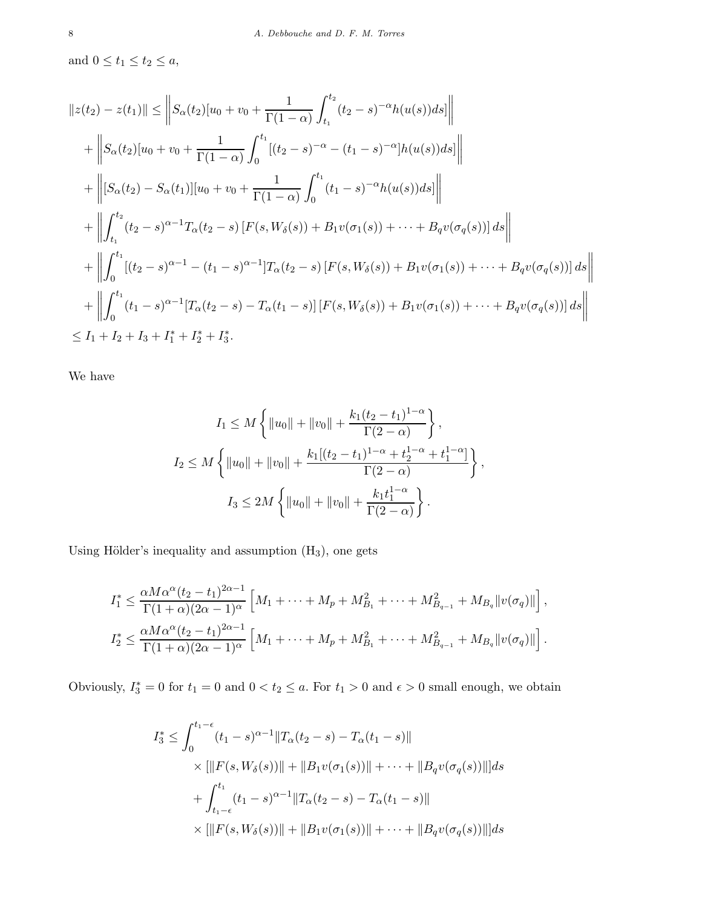and  $0 \le t_1 \le t_2 \le a$ ,

$$
||z(t_2) - z(t_1)|| \le ||S_{\alpha}(t_2)[u_0 + v_0 + \frac{1}{\Gamma(1-\alpha)} \int_{t_1}^{t_2} (t_2 - s)^{-\alpha} h(u(s))ds]||
$$
  
+  $||S_{\alpha}(t_2)[u_0 + v_0 + \frac{1}{\Gamma(1-\alpha)} \int_0^{t_1} [(t_2 - s)^{-\alpha} - (t_1 - s)^{-\alpha}] h(u(s))ds]||$   
+  $||[S_{\alpha}(t_2) - S_{\alpha}(t_1)][u_0 + v_0 + \frac{1}{\Gamma(1-\alpha)} \int_0^{t_1} (t_1 - s)^{-\alpha} h(u(s))ds]||$   
+  $||\int_{t_1}^{t_2} (t_2 - s)^{\alpha-1} T_{\alpha}(t_2 - s) [F(s, W_{\delta}(s)) + B_1 v(\sigma_1(s)) + \dots + B_q v(\sigma_q(s))] ds||$   
+  $||\int_0^{t_1} [(t_2 - s)^{\alpha-1} - (t_1 - s)^{\alpha-1}] T_{\alpha}(t_2 - s) [F(s, W_{\delta}(s)) + B_1 v(\sigma_1(s)) + \dots + B_q v(\sigma_q(s))] ds||$   
+  $||\int_0^{t_1} (t_1 - s)^{\alpha-1} [T_{\alpha}(t_2 - s) - T_{\alpha}(t_1 - s)] [F(s, W_{\delta}(s)) + B_1 v(\sigma_1(s)) + \dots + B_q v(\sigma_q(s))] ds||$   
 $\leq I_1 + I_2 + I_3 + I_1^* + I_2^* + I_3^*.$ 

We have

$$
I_1 \leq M \left\{ ||u_0|| + ||v_0|| + \frac{k_1(t_2 - t_1)^{1-\alpha}}{\Gamma(2-\alpha)} \right\},
$$
  

$$
I_2 \leq M \left\{ ||u_0|| + ||v_0|| + \frac{k_1[(t_2 - t_1)^{1-\alpha} + t_2^{1-\alpha} + t_1^{1-\alpha}]}{\Gamma(2-\alpha)} \right\},
$$
  

$$
I_3 \leq 2M \left\{ ||u_0|| + ||v_0|| + \frac{k_1 t_1^{1-\alpha}}{\Gamma(2-\alpha)} \right\}.
$$

Using Hölder's inequality and assumption  $(H_3)$ , one gets

$$
I_1^* \leq \frac{\alpha M \alpha^{\alpha} (t_2 - t_1)^{2\alpha - 1}}{\Gamma(1 + \alpha)(2\alpha - 1)^{\alpha}} \left[ M_1 + \dots + M_p + M_{B_1}^2 + \dots + M_{B_{q-1}}^2 + M_{B_q} ||v(\sigma_q)|| \right],
$$
  

$$
I_2^* \leq \frac{\alpha M \alpha^{\alpha} (t_2 - t_1)^{2\alpha - 1}}{\Gamma(1 + \alpha)(2\alpha - 1)^{\alpha}} \left[ M_1 + \dots + M_p + M_{B_1}^2 + \dots + M_{B_{q-1}}^2 + M_{B_q} ||v(\sigma_q)|| \right].
$$

Obviously,  $I_3^* = 0$  for  $t_1 = 0$  and  $0 < t_2 \le a$ . For  $t_1 > 0$  and  $\epsilon > 0$  small enough, we obtain

$$
I_3^* \le \int_0^{t_1-\epsilon} (t_1-s)^{\alpha-1} \|T_\alpha(t_2-s) - T_\alpha(t_1-s)\|
$$
  
 
$$
\times [\|F(s, W_\delta(s))\| + \|B_1 v(\sigma_1(s))\| + \cdots + \|B_q v(\sigma_q(s))\|] ds
$$
  
 
$$
+ \int_{t_1-\epsilon}^{t_1} (t_1-s)^{\alpha-1} \|T_\alpha(t_2-s) - T_\alpha(t_1-s)\|
$$
  
 
$$
\times [\|F(s, W_\delta(s))\| + \|B_1 v(\sigma_1(s))\| + \cdots + \|B_q v(\sigma_q(s))\|] ds
$$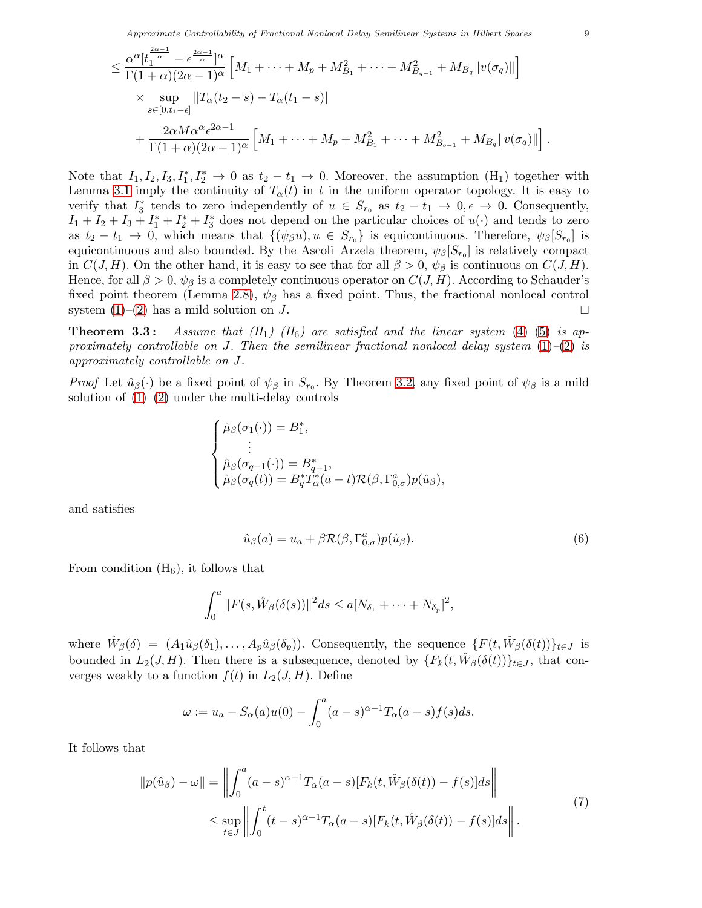$$
\leq \frac{\alpha^{\alpha} [t_1^{\frac{2\alpha-1}{\alpha}} - \epsilon^{\frac{2\alpha-1}{\alpha}}]^{\alpha}}{\Gamma(1+\alpha)(2\alpha-1)^{\alpha}} \left[ M_1 + \dots + M_p + M_{B_1}^2 + \dots + M_{B_{q-1}}^2 + M_{B_q} ||v(\sigma_q)|| \right] \times \sup_{s \in [0,t_1-\epsilon]} ||T_\alpha(t_2-s) - T_\alpha(t_1-s)|| + \frac{2\alpha M \alpha^{\alpha} \epsilon^{2\alpha-1}}{\Gamma(1+\alpha)(2\alpha-1)^{\alpha}} \left[ M_1 + \dots + M_p + M_{B_1}^2 + \dots + M_{B_{q-1}}^2 + M_{B_q} ||v(\sigma_q)|| \right].
$$

Note that  $I_1, I_2, I_3, I_1^*, I_2^* \to 0$  as  $t_2 - t_1 \to 0$ . Moreover, the assumption  $(H_1)$  together with Lemma [3.1](#page-5-1) imply the continuity of  $T_{\alpha}(t)$  in t in the uniform operator topology. It is easy to verify that  $I_3^*$ <sup>\*</sup>/<sub>3</sub> tends to zero independently of  $u \in S_{r_0}$  as  $t_2 - t_1 \to 0, \epsilon \to 0$ . Consequently,  $I_1 + I_2 + I_3 + I_1^* + I_2^* + I_3^*$  does not depend on the particular choices of  $u(\cdot)$  and tends to zero as  $t_2-t_1 \to 0$ , which means that  $\{(\psi_\beta u), u \in S_{r_0}\}\$ is equicontinuous. Therefore,  $\psi_\beta[S_{r_0}]$  is equicontinuous and also bounded. By the Ascoli–Arzela theorem,  $\psi_{\beta}[S_{r_0}]$  is relatively compact in  $C(J, H)$ . On the other hand, it is easy to see that for all  $\beta > 0$ ,  $\psi_{\beta}$  is continuous on  $C(J, H)$ . Hence, for all  $\beta > 0$ ,  $\psi_{\beta}$  is a completely continuous operator on  $C(J, H)$ . According to Schauder's fixed point theorem (Lemma [2.8\)](#page-4-2),  $\psi_{\beta}$  has a fixed point. Thus, the fractional nonlocal control system  $(1)$ – $(2)$  has a mild solution on J.

<span id="page-8-2"></span>**Theorem 3.3:** Assume that  $(H_1)$ – $(H_6)$  are satisfied and the linear system [\(4\)](#page-3-1)–[\(5\)](#page-4-1) is approximately controllable on J. Then the semilinear fractional nonlocal delay system  $(1)$ – $(2)$  is approximately controllable on J.

*Proof* Let  $\hat{u}_{\beta}(\cdot)$  be a fixed point of  $\psi_{\beta}$  in  $S_{r_0}$ . By Theorem [3.2,](#page-5-0) any fixed point of  $\psi_{\beta}$  is a mild solution of  $(1)$ – $(2)$  under the multi-delay controls

$$
\label{eq:21} \begin{cases} \hat{\mu}_{\beta}(\sigma_1(\cdot))=B_1^*,\\qquad \qquad \vdots\\ \hat{\mu}_{\beta}(\sigma_{q-1}(\cdot))=B_{q-1}^*,\\ \hat{\mu}_{\beta}(\sigma_q(t))=B_q^*T_\alpha^*(a-t)\mathcal{R}(\beta,\Gamma_{0,\sigma}^a)p(\hat{u}_{\beta}), \end{cases}
$$

and satisfies

<span id="page-8-1"></span>
$$
\hat{u}_{\beta}(a) = u_a + \beta \mathcal{R}(\beta, \Gamma^a_{0,\sigma}) p(\hat{u}_{\beta}). \tag{6}
$$

From condition  $(H_6)$ , it follows that

$$
\int_0^a ||F(s,\hat{W}_{\beta}(\delta(s))||^2 ds \leq a[N_{\delta_1} + \cdots + N_{\delta_p}]^2,
$$

where  $\hat{W}_{\beta}(\delta) = (A_1 \hat{u}_{\beta}(\delta_1), \ldots, A_p \hat{u}_{\beta}(\delta_p))$ . Consequently, the sequence  $\{F(t, \hat{W}_{\beta}(\delta(t))\}_{t \in J}$  is bounded in  $L_2(J, H)$ . Then there is a subsequence, denoted by  $\{F_k(t, \hat{W}_{\beta}(\delta(t))\}_{t \in J}$ , that converges weakly to a function  $f(t)$  in  $L_2(J, H)$ . Define

$$
\omega := u_a - S_{\alpha}(a)u(0) - \int_0^a (a-s)^{\alpha-1} T_{\alpha}(a-s) f(s) ds.
$$

It follows that

<span id="page-8-0"></span>
$$
||p(\hat{u}_{\beta}) - \omega|| = \left\| \int_0^a (a - s)^{\alpha - 1} T_{\alpha}(a - s) [F_k(t, \hat{W}_{\beta}(\delta(t)) - f(s)] ds \right\|
$$
  

$$
\leq \sup_{t \in J} \left\| \int_0^t (t - s)^{\alpha - 1} T_{\alpha}(a - s) [F_k(t, \hat{W}_{\beta}(\delta(t)) - f(s)] ds \right\|.
$$
 (7)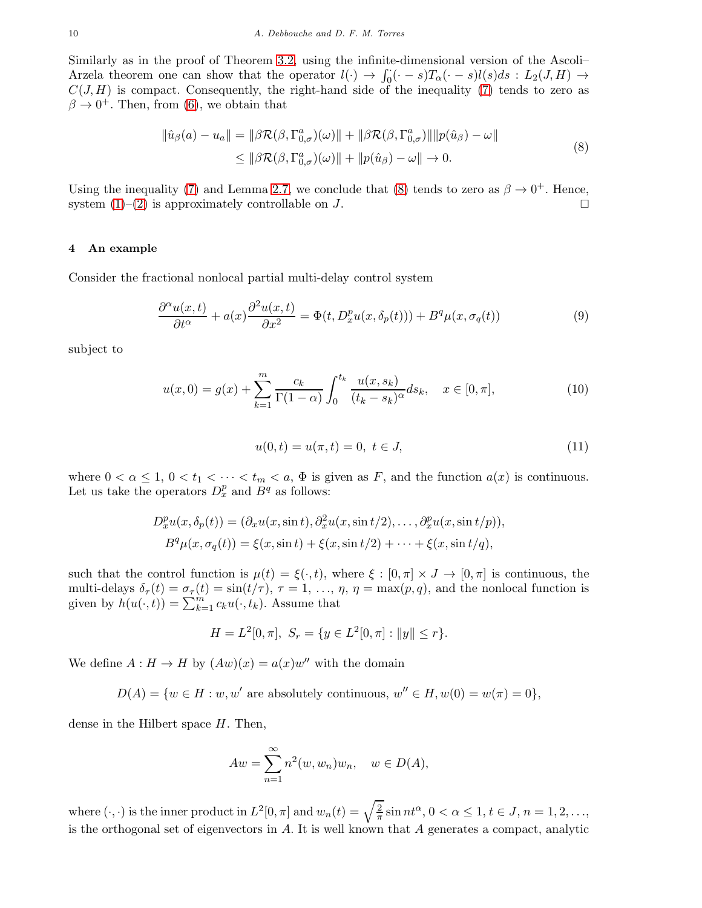Similarly as in the proof of Theorem [3.2,](#page-5-0) using the infinite-dimensional version of the Ascoli– Arzela theorem one can show that the operator  $l(\cdot) \to \int_0^{\cdot} (\cdot - s) T_\alpha(\cdot - s) l(s) ds : L_2(J, H) \to$  $C(J, H)$  is compact. Consequently, the right-hand side of the inequality [\(7\)](#page-8-0) tends to zero as  $\beta \to 0^+$ . Then, from [\(6\)](#page-8-1), we obtain that

<span id="page-9-1"></span>
$$
\|\hat{u}_{\beta}(a) - u_a\| = \|\beta \mathcal{R}(\beta, \Gamma^a_{0,\sigma})(\omega)\| + \|\beta \mathcal{R}(\beta, \Gamma^a_{0,\sigma})\| \|p(\hat{u}_{\beta}) - \omega\|
$$
  
\n
$$
\leq \|\beta \mathcal{R}(\beta, \Gamma^a_{0,\sigma})(\omega)\| + \|p(\hat{u}_{\beta}) - \omega\| \to 0.
$$
\n(8)

Using the inequality [\(7\)](#page-8-0) and Lemma [2.7,](#page-4-3) we conclude that [\(8\)](#page-9-1) tends to zero as  $\beta \to 0^+$ . Hence, system  $(1)-(2)$  $(1)-(2)$  is approximately controllable on J.

## <span id="page-9-0"></span>4 An example

Consider the fractional nonlocal partial multi-delay control system

<span id="page-9-2"></span>
$$
\frac{\partial^{\alpha}u(x,t)}{\partial t^{\alpha}} + a(x)\frac{\partial^2 u(x,t)}{\partial x^2} = \Phi(t, D_x^p u(x, \delta_p(t))) + B^q \mu(x, \sigma_q(t))
$$
\n(9)

subject to

$$
u(x,0) = g(x) + \sum_{k=1}^{m} \frac{c_k}{\Gamma(1-\alpha)} \int_0^{t_k} \frac{u(x,s_k)}{(t_k-s_k)^{\alpha}} ds_k, \quad x \in [0,\pi],
$$
 (10)

<span id="page-9-3"></span>
$$
u(0,t) = u(\pi, t) = 0, \ t \in J,
$$
\n(11)

where  $0 < \alpha \leq 1$ ,  $0 < t_1 < \cdots < t_m < a$ ,  $\Phi$  is given as F, and the function  $a(x)$  is continuous. Let us take the operators  $D_x^p$  and  $B^q$  as follows:

$$
D_x^p u(x, \delta_p(t)) = (\partial_x u(x, \sin t), \partial_x^2 u(x, \sin t/2), \dots, \partial_x^p u(x, \sin t/p)),
$$
  

$$
B^q \mu(x, \sigma_q(t)) = \xi(x, \sin t) + \xi(x, \sin t/2) + \dots + \xi(x, \sin t/q),
$$

such that the control function is  $\mu(t) = \xi(\cdot, t)$ , where  $\xi : [0, \pi] \times J \to [0, \pi]$  is continuous, the multi-delays  $\delta_{\tau}(t) = \sigma_{\tau}(t) = \sin(t/\tau), \tau = 1, \ldots, \eta, \eta = \max(p, q)$ , and the nonlocal function is given by  $h(u(\cdot,t)) = \sum_{k=1}^{m} c_k u(\cdot, t_k)$ . Assume that

$$
H = L2[0, \pi], Sr = \{ y \in L2[0, \pi] : ||y|| \le r \}.
$$

We define  $A: H \to H$  by  $(Aw)(x) = a(x)w''$  with the domain

 $D(A) = \{w \in H : w, w' \text{ are absolutely continuous, } w'' \in H, w(0) = w(\pi) = 0\},\$ 

dense in the Hilbert space  $H$ . Then,

$$
Aw = \sum_{n=1}^{\infty} n^2(w, w_n)w_n, \quad w \in D(A),
$$

where  $(\cdot, \cdot)$  is the inner product in  $L^2[0, \pi]$  and  $w_n(t) = \sqrt{\frac{2}{\pi}} \sin nt^{\alpha}, 0 < \alpha \leq 1, t \in J, n = 1, 2, \ldots,$ is the orthogonal set of eigenvectors in  $A$ . It is well known that  $A$  generates a compact, analytic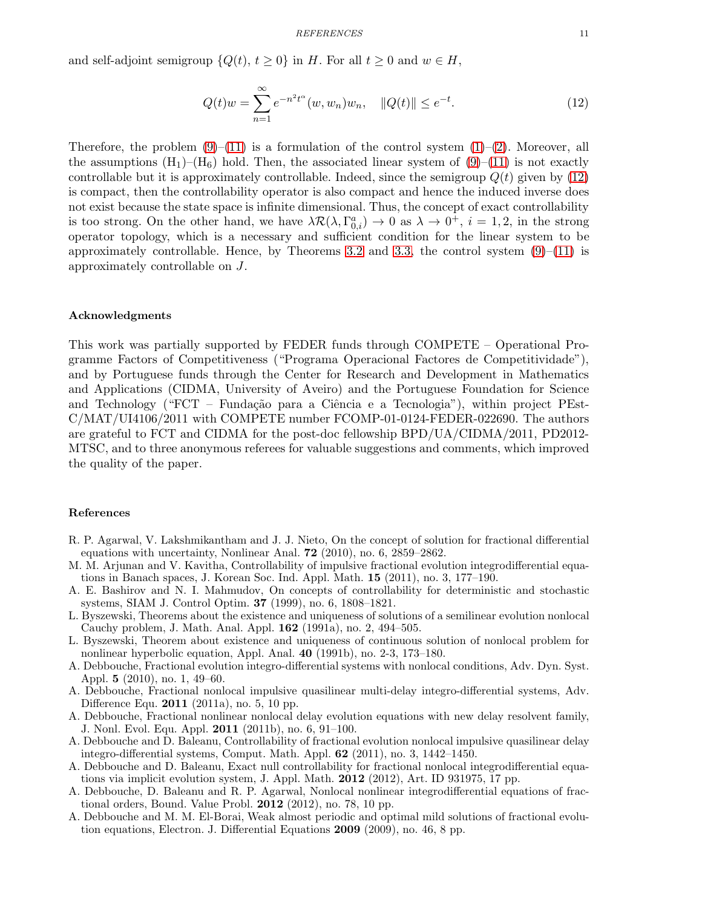and self-adjoint semigroup  $\{Q(t), t \geq 0\}$  in H. For all  $t \geq 0$  and  $w \in H$ ,

<span id="page-10-12"></span>
$$
Q(t)w = \sum_{n=1}^{\infty} e^{-n^2 t^{\alpha}} (w, w_n) w_n, \quad ||Q(t)|| \le e^{-t}.
$$
 (12)

Therefore, the problem  $(9)-(11)$  $(9)-(11)$  is a formulation of the control system  $(1)-(2)$  $(1)-(2)$ . Moreover, all the assumptions  $(H_1)$ – $(H_6)$  hold. Then, the associated linear system of  $(9)$ – $(11)$  is not exactly controllable but it is approximately controllable. Indeed, since the semigroup  $Q(t)$  given by  $(12)$ is compact, then the controllability operator is also compact and hence the induced inverse does not exist because the state space is infinite dimensional. Thus, the concept of exact controllability is too strong. On the other hand, we have  $\lambda \mathcal{R}(\lambda, \Gamma^a_{0,i}) \to 0$  as  $\lambda \to 0^+, i = 1, 2$ , in the strong operator topology, which is a necessary and sufficient condition for the linear system to be approximately controllable. Hence, by Theorems [3.2](#page-5-0) and [3.3,](#page-8-2) the control system  $(9)$ – $(11)$  is approximately controllable on J.

## Acknowledgments

This work was partially supported by FEDER funds through COMPETE – Operational Programme Factors of Competitiveness ("Programa Operacional Factores de Competitividade"), and by Portuguese funds through the Center for Research and Development in Mathematics and Applications (CIDMA, University of Aveiro) and the Portuguese Foundation for Science and Technology ("FCT – Fundação para a Ciência e a Tecnologia"), within project PEst-C/MAT/UI4106/2011 with COMPETE number FCOMP-01-0124-FEDER-022690. The authors are grateful to FCT and CIDMA for the post-doc fellowship BPD/UA/CIDMA/2011, PD2012- MTSC, and to three anonymous referees for valuable suggestions and comments, which improved the quality of the paper.

#### References

- <span id="page-10-0"></span>R. P. Agarwal, V. Lakshmikantham and J. J. Nieto, On the concept of solution for fractional differential equations with uncertainty, Nonlinear Anal. 72 (2010), no. 6, 2859–2862.
- <span id="page-10-7"></span>M. M. Arjunan and V. Kavitha, Controllability of impulsive fractional evolution integrodifferential equations in Banach spaces, J. Korean Soc. Ind. Appl. Math. 15 (2011), no. 3, 177–190.
- <span id="page-10-11"></span>A. E. Bashirov and N. I. Mahmudov, On concepts of controllability for deterministic and stochastic systems, SIAM J. Control Optim. 37 (1999), no. 6, 1808–1821.
- <span id="page-10-5"></span>L. Byszewski, Theorems about the existence and uniqueness of solutions of a semilinear evolution nonlocal Cauchy problem, J. Math. Anal. Appl. 162 (1991a), no. 2, 494–505.
- <span id="page-10-6"></span>L. Byszewski, Theorem about existence and uniqueness of continuous solution of nonlocal problem for nonlinear hyperbolic equation, Appl. Anal. 40 (1991b), no. 2-3, 173–180.
- <span id="page-10-3"></span>A. Debbouche, Fractional evolution integro-differential systems with nonlocal conditions, Adv. Dyn. Syst. Appl. 5 (2010), no. 1, 49–60.
- <span id="page-10-1"></span>A. Debbouche, Fractional nonlocal impulsive quasilinear multi-delay integro-differential systems, Adv. Difference Equ. 2011 (2011a), no. 5, 10 pp.
- <span id="page-10-4"></span>A. Debbouche, Fractional nonlinear nonlocal delay evolution equations with new delay resolvent family, J. Nonl. Evol. Equ. Appl. 2011 (2011b), no. 6, 91–100.
- <span id="page-10-8"></span>A. Debbouche and D. Baleanu, Controllability of fractional evolution nonlocal impulsive quasilinear delay integro-differential systems, Comput. Math. Appl. 62 (2011), no. 3, 1442–1450.
- <span id="page-10-9"></span>A. Debbouche and D. Baleanu, Exact null controllability for fractional nonlocal integrodifferential equations via implicit evolution system, J. Appl. Math. 2012 (2012), Art. ID 931975, 17 pp.
- <span id="page-10-2"></span>A. Debbouche, D. Baleanu and R. P. Agarwal, Nonlocal nonlinear integrodifferential equations of fractional orders, Bound. Value Probl. 2012 (2012), no. 78, 10 pp.
- <span id="page-10-10"></span>A. Debbouche and M. M. El-Borai, Weak almost periodic and optimal mild solutions of fractional evolution equations, Electron. J. Differential Equations 2009 (2009), no. 46, 8 pp.